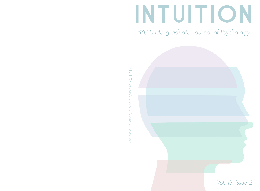# INTUITION

BYU Undergraduate Journal of Psychology



**INTUITION** BYU Undergraduate Journal of Psychology INTUITION BYU Undergraduate Journal of Psychology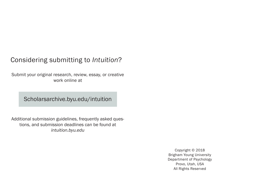## Considering submitting to *Intuition*?

Submit your original research, review, essay, or creative work online at

Scholarsarchive.byu.edu/intuition

Additional submission guidelines, frequently asked questions, and submission deadlines can be found at *intuition.byu.edu*

> Copyright © 2018 Brigham Young University Department of Psychology Provo, Utah, USA All Rights Reserved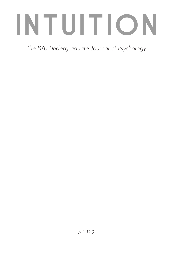## INTUITION

The BYU Undergraduate Journal of Psychology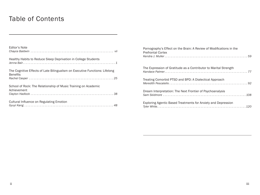## Table of Contents

| Editor's Note                                                                                  |
|------------------------------------------------------------------------------------------------|
| Healthy Habits to Reduce Sleep Deprivation in College Students                                 |
| The Cognitive Effects of Late Bilingualism on Executive Functions: Lifelong<br><b>Benefits</b> |
| School of Rock: The Relationship of Music Training on Academic<br>Achievement                  |
| <b>Cultural Influence on Regulating Emotion</b>                                                |

| Pornography's Effect on the Brain: A Review of Modifications in the<br><b>Prefrontal Cortex</b> |
|-------------------------------------------------------------------------------------------------|
| The Expression of Gratitude as a Contributor to Marital Strength                                |
| Treating Comorbid PTSD and BPD: A Dialectical Approach                                          |
| Dream Interpretation: The Next Frontier of Psychoanalysis                                       |
| Exploring Agentic Based Treatments for Anxiety and Depression                                   |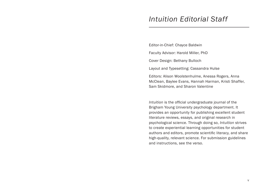## *Intuition Editorial Staff*

Editor-in-Chief: Chayce Baldwin

Faculty Advisor: Harold Miller, PhD

Cover Design: Bethany Bulloch

Layout and Typesetting: Cassandra Hulse

Editors: Alison Woolstenhulme, Anessa Rogers, Anna McClean, Baylee Evans, Hannah Harman, Kristi Shaffer, Sam Skidmore, and Sharon Valentine

*Intuition* is the official undergraduate journal of the Brigham Young University psychology department. It provides an opportunity for publishing excellent student literature reviews, essays, and original research in psychological science. Through doing so, *Intuition* strives to create experiential learning opportunities for student authors and editors, promote scientific literacy, and share high-quality, relevant science. For submission guidelines and instructions, see the verso.